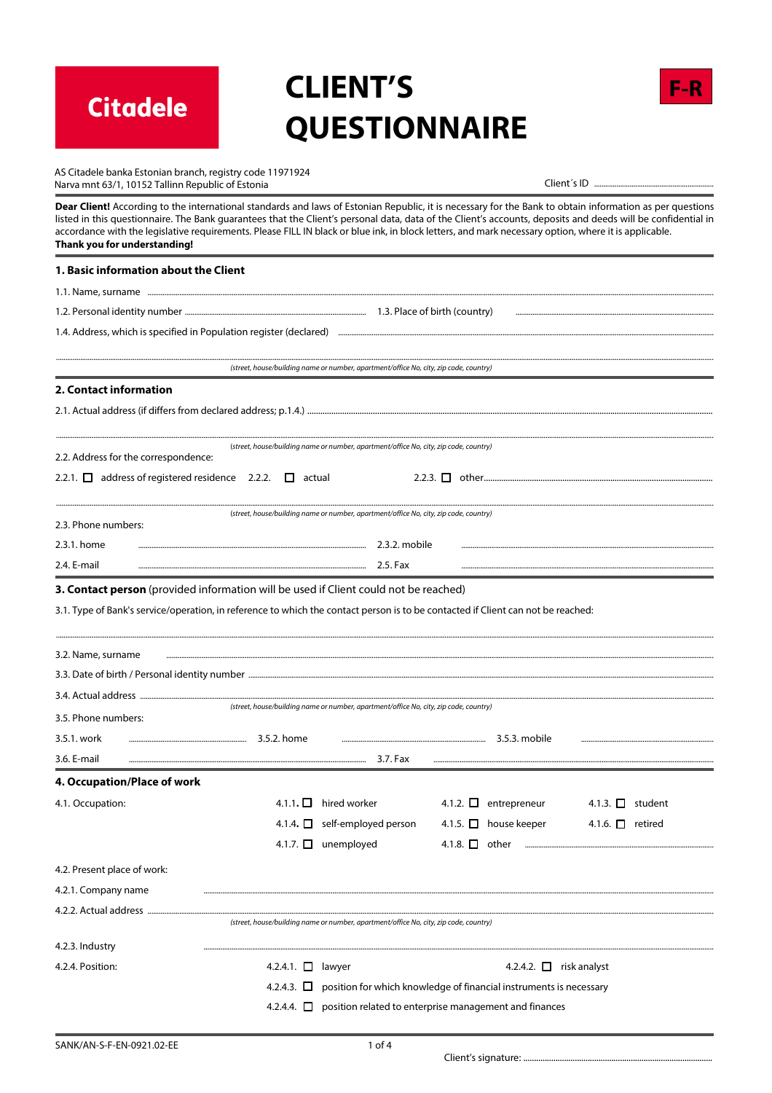**Citadele** 

# **CLIENT'S QUESTIONNAIRE**



| AS Citadele banka Estonian branch, registry code 11971924 |
|-----------------------------------------------------------|
| Varva mnt 63/1. 10152 Tallinn Republic of Estonia         |

Dear Client! According to the international standards and laws of Estonian Republic, it is necessary for the Bank to obtain information as per questions listed in this questionnaire. The Bank guarantees that the Client's personal data, data of the Client's accounts, deposits and deeds will be confidential in accordance with the legislative requirements. Please FILL IN black or blue ink, in block letters, and mark necessary option, where it is applicable. Thank you for understanding!

## 1. Basic information about the Client 1.1. Name, surname ...... 1.2. Personal identity number ........ 1.4. Address, which is specified in Population register (declared) ..... (street, house/building name or number, apartment/office No, city, zip code, country) 2. Contact information (street, house/building name or number, apartment/office No, city, zip code, country) 2.2. Address for the correspondence: 2.2.1.  $\Box$  address of registered residence 2.2.2.  $\Box$  actual (street, house/building name or number, apartment/office No, city, zip code, country) 2.3. Phone numbers: 2.3.1. home ..... 2.3.2. mobile 2.4. F-mail  $2.5.$ Fax 3. Contact person (provided information will be used if Client could not be reached) 3.1. Type of Bank's service/operation, in reference to which the contact person is to be contacted if Client can not be reached:

| 3.2. Name, surname          |                 |                                                                                       |                                                                                    |                       |  |
|-----------------------------|-----------------|---------------------------------------------------------------------------------------|------------------------------------------------------------------------------------|-----------------------|--|
|                             |                 |                                                                                       |                                                                                    |                       |  |
|                             |                 |                                                                                       |                                                                                    |                       |  |
| 3.5. Phone numbers:         |                 | (street, house/building name or number, apartment/office No, city, zip code, country) |                                                                                    |                       |  |
| 3.5.1. work                 | 3.5.2. home     |                                                                                       | 3.5.3. mobile                                                                      |                       |  |
| 3.6. E-mail                 |                 | 3.7. Fax                                                                              |                                                                                    |                       |  |
| 4. Occupation/Place of work |                 |                                                                                       |                                                                                    |                       |  |
| 4.1. Occupation:            |                 | 4.1.1. $\Box$ hired worker                                                            | 4.1.2. $\Box$ entrepreneur                                                         | 4.1.3. $\Box$ student |  |
|                             |                 | 4.1.4. $\Box$ self-employed person                                                    | 4.1.5. $\Box$ house keeper                                                         | 4.1.6. $\Box$ retired |  |
|                             |                 | 4.1.7. □ unemployed                                                                   | 4.1.8. $\Box$ other                                                                |                       |  |
| 4.2. Present place of work: |                 |                                                                                       |                                                                                    |                       |  |
| 4.2.1. Company name         |                 |                                                                                       |                                                                                    |                       |  |
| 4.2.2. Actual address       |                 |                                                                                       |                                                                                    |                       |  |
|                             |                 | (street, house/building name or number, apartment/office No, city, zip code, country) |                                                                                    |                       |  |
| 4.2.3. Industry             |                 |                                                                                       |                                                                                    |                       |  |
| 4.2.4. Position:            | 4.2.4.1. $\Box$ | lawyer                                                                                | 4.2.4.2. $\Box$ risk analyst                                                       |                       |  |
|                             |                 |                                                                                       | 4.2.4.3. $\Box$ position for which knowledge of financial instruments is necessary |                       |  |
|                             |                 |                                                                                       | 4.2.4.4. $\Box$ position related to enterprise management and finances             |                       |  |
|                             |                 |                                                                                       |                                                                                    |                       |  |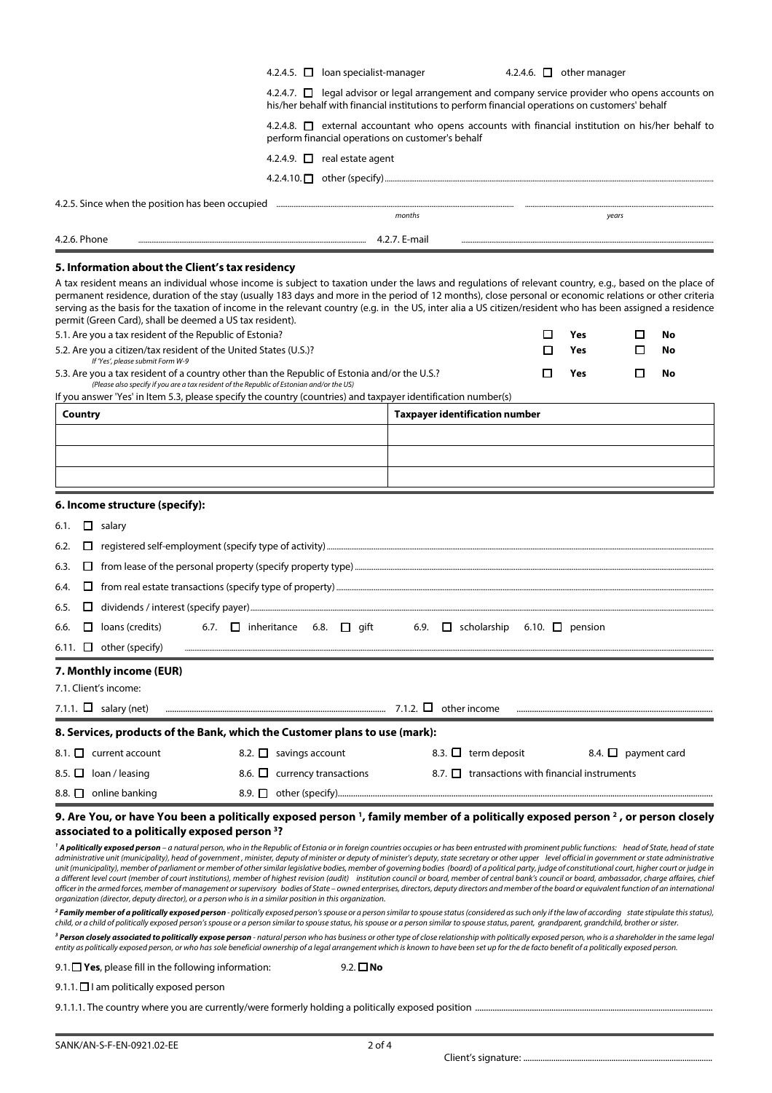|                                                                                                                                                                                                                                                                                                                                                                                                                                                                                                                                                                                                                                                                                                                                                                                                                                                                                                                                                                                                                                                                                                                                                                                                                                                                                                                                                                                                  | 4.2.4.5. $\Box$ loan specialist-manager           |                                                                                                                                                                                                            | 4.2.4.6. $\Box$ other manager |                          |                          |                |
|--------------------------------------------------------------------------------------------------------------------------------------------------------------------------------------------------------------------------------------------------------------------------------------------------------------------------------------------------------------------------------------------------------------------------------------------------------------------------------------------------------------------------------------------------------------------------------------------------------------------------------------------------------------------------------------------------------------------------------------------------------------------------------------------------------------------------------------------------------------------------------------------------------------------------------------------------------------------------------------------------------------------------------------------------------------------------------------------------------------------------------------------------------------------------------------------------------------------------------------------------------------------------------------------------------------------------------------------------------------------------------------------------|---------------------------------------------------|------------------------------------------------------------------------------------------------------------------------------------------------------------------------------------------------------------|-------------------------------|--------------------------|--------------------------|----------------|
|                                                                                                                                                                                                                                                                                                                                                                                                                                                                                                                                                                                                                                                                                                                                                                                                                                                                                                                                                                                                                                                                                                                                                                                                                                                                                                                                                                                                  |                                                   | 4.2.4.7. <b>D</b> legal advisor or legal arrangement and company service provider who opens accounts on<br>his/her behalf with financial institutions to perform financial operations on customers' behalf |                               |                          |                          |                |
|                                                                                                                                                                                                                                                                                                                                                                                                                                                                                                                                                                                                                                                                                                                                                                                                                                                                                                                                                                                                                                                                                                                                                                                                                                                                                                                                                                                                  | perform financial operations on customer's behalf | 4.2.4.8. <u>O</u> external accountant who opens accounts with financial institution on his/her behalf to                                                                                                   |                               |                          |                          |                |
|                                                                                                                                                                                                                                                                                                                                                                                                                                                                                                                                                                                                                                                                                                                                                                                                                                                                                                                                                                                                                                                                                                                                                                                                                                                                                                                                                                                                  | 4.2.4.9. $\Box$ real estate agent                 |                                                                                                                                                                                                            |                               |                          |                          |                |
|                                                                                                                                                                                                                                                                                                                                                                                                                                                                                                                                                                                                                                                                                                                                                                                                                                                                                                                                                                                                                                                                                                                                                                                                                                                                                                                                                                                                  |                                                   |                                                                                                                                                                                                            |                               |                          |                          |                |
| 4.2.5. Since when the position has been occupied www.assammana.communication.communication.communication.communication.communication.communication.communication.communication.communication.communication.communication.commu                                                                                                                                                                                                                                                                                                                                                                                                                                                                                                                                                                                                                                                                                                                                                                                                                                                                                                                                                                                                                                                                                                                                                                   |                                                   |                                                                                                                                                                                                            |                               |                          |                          |                |
|                                                                                                                                                                                                                                                                                                                                                                                                                                                                                                                                                                                                                                                                                                                                                                                                                                                                                                                                                                                                                                                                                                                                                                                                                                                                                                                                                                                                  |                                                   | months                                                                                                                                                                                                     |                               |                          | years                    |                |
| 4.2.6. Phone                                                                                                                                                                                                                                                                                                                                                                                                                                                                                                                                                                                                                                                                                                                                                                                                                                                                                                                                                                                                                                                                                                                                                                                                                                                                                                                                                                                     |                                                   |                                                                                                                                                                                                            |                               |                          |                          |                |
| A tax resident means an individual whose income is subject to taxation under the laws and regulations of relevant country, e.g., based on the place of<br>permanent residence, duration of the stay (usually 183 days and more in the period of 12 months), close personal or economic relations or other criteria<br>serving as the basis for the taxation of income in the relevant country (e.g. in the US, inter alia a US citizen/resident who has been assigned a residence<br>permit (Green Card), shall be deemed a US tax resident).<br>5.1. Are you a tax resident of the Republic of Estonia?<br>5.2. Are you a citizen/tax resident of the United States (U.S.)?<br>If 'Yes', please submit Form W-9<br>5.3. Are you a tax resident of a country other than the Republic of Estonia and/or the U.S.?<br>(Please also specify if you are a tax resident of the Republic of Estonian and/or the US)<br>If you answer 'Yes' in Item 5.3, please specify the country (countries) and taxpayer identification number(s)                                                                                                                                                                                                                                                                                                                                                                   |                                                   |                                                                                                                                                                                                            | □<br>П<br>□                   | <b>Yes</b><br>Yes<br>Yes | П<br>П<br>□              | No<br>No<br>No |
| Country                                                                                                                                                                                                                                                                                                                                                                                                                                                                                                                                                                                                                                                                                                                                                                                                                                                                                                                                                                                                                                                                                                                                                                                                                                                                                                                                                                                          |                                                   | <b>Taxpayer identification number</b>                                                                                                                                                                      |                               |                          |                          |                |
|                                                                                                                                                                                                                                                                                                                                                                                                                                                                                                                                                                                                                                                                                                                                                                                                                                                                                                                                                                                                                                                                                                                                                                                                                                                                                                                                                                                                  |                                                   |                                                                                                                                                                                                            |                               |                          |                          |                |
|                                                                                                                                                                                                                                                                                                                                                                                                                                                                                                                                                                                                                                                                                                                                                                                                                                                                                                                                                                                                                                                                                                                                                                                                                                                                                                                                                                                                  |                                                   |                                                                                                                                                                                                            |                               |                          |                          |                |
| 6. Income structure (specify):<br>$\Box$ salary<br>6.1.<br>6.2.<br>6.3.                                                                                                                                                                                                                                                                                                                                                                                                                                                                                                                                                                                                                                                                                                                                                                                                                                                                                                                                                                                                                                                                                                                                                                                                                                                                                                                          |                                                   |                                                                                                                                                                                                            |                               |                          |                          |                |
| 6.4.                                                                                                                                                                                                                                                                                                                                                                                                                                                                                                                                                                                                                                                                                                                                                                                                                                                                                                                                                                                                                                                                                                                                                                                                                                                                                                                                                                                             |                                                   |                                                                                                                                                                                                            |                               |                          |                          |                |
| 6.5.                                                                                                                                                                                                                                                                                                                                                                                                                                                                                                                                                                                                                                                                                                                                                                                                                                                                                                                                                                                                                                                                                                                                                                                                                                                                                                                                                                                             |                                                   |                                                                                                                                                                                                            |                               |                          |                          |                |
| $\Box$ loans (credits)<br>6.7.<br>6.6.<br>6.11. $\Box$ other (specify)                                                                                                                                                                                                                                                                                                                                                                                                                                                                                                                                                                                                                                                                                                                                                                                                                                                                                                                                                                                                                                                                                                                                                                                                                                                                                                                           | $\Box$ inheritance<br>6.8.<br>gift                | $\Box$ scholarship<br>6.9.                                                                                                                                                                                 | 6.10. $\Box$ pension          |                          |                          |                |
| 7. Monthly income (EUR)                                                                                                                                                                                                                                                                                                                                                                                                                                                                                                                                                                                                                                                                                                                                                                                                                                                                                                                                                                                                                                                                                                                                                                                                                                                                                                                                                                          |                                                   |                                                                                                                                                                                                            |                               |                          |                          |                |
| 7.1. Client's income:                                                                                                                                                                                                                                                                                                                                                                                                                                                                                                                                                                                                                                                                                                                                                                                                                                                                                                                                                                                                                                                                                                                                                                                                                                                                                                                                                                            |                                                   |                                                                                                                                                                                                            |                               |                          |                          |                |
| 7.1.1. $\Box$ salary (net)                                                                                                                                                                                                                                                                                                                                                                                                                                                                                                                                                                                                                                                                                                                                                                                                                                                                                                                                                                                                                                                                                                                                                                                                                                                                                                                                                                       |                                                   |                                                                                                                                                                                                            |                               |                          |                          |                |
| 8. Services, products of the Bank, which the Customer plans to use (mark):                                                                                                                                                                                                                                                                                                                                                                                                                                                                                                                                                                                                                                                                                                                                                                                                                                                                                                                                                                                                                                                                                                                                                                                                                                                                                                                       |                                                   |                                                                                                                                                                                                            |                               |                          |                          |                |
| 8.1. $\Box$ current account                                                                                                                                                                                                                                                                                                                                                                                                                                                                                                                                                                                                                                                                                                                                                                                                                                                                                                                                                                                                                                                                                                                                                                                                                                                                                                                                                                      | 8.2. $\Box$ savings account                       | 8.3. $\Box$ term deposit                                                                                                                                                                                   |                               |                          | 8.4. $\Box$ payment card |                |
| 8.5. $\Box$ loan / leasing                                                                                                                                                                                                                                                                                                                                                                                                                                                                                                                                                                                                                                                                                                                                                                                                                                                                                                                                                                                                                                                                                                                                                                                                                                                                                                                                                                       | 8.6. $\Box$ currency transactions                 | 8.7. $\Box$ transactions with financial instruments                                                                                                                                                        |                               |                          |                          |                |
| 8.8. $\Box$ online banking                                                                                                                                                                                                                                                                                                                                                                                                                                                                                                                                                                                                                                                                                                                                                                                                                                                                                                                                                                                                                                                                                                                                                                                                                                                                                                                                                                       |                                                   |                                                                                                                                                                                                            |                               |                          |                          |                |
| 9. Are You, or have You been a politically exposed person <sup>1</sup> , family member of a politically exposed person <sup>2</sup> , or person closely<br>associated to a politically exposed person <sup>3</sup> ?<br><sup>1</sup> A politically exposed person - a natural person, who in the Republic of Estonia or in foreign countries occupies or has been entrusted with prominent public functions: head of State, head of State<br>administrative unit (municipality), head of government, minister, deputy of minister or deputy of minister's deputy, state secretary or other upper level official in government or state administrative<br>unit (municipality), member of parliament or member of other similar legislative bodies, member of governing bodies (board) of a political party, judge of constitutional court, higher court or judge in<br>a different level court (member of court institutions), member of highest revision (audit) institution council or board, member of central bank's council or board, ambassador, charge affaires, chief<br>officer in the armed forces, member of management or supervisory bodies of State – owned enterprises, directors, deputy directors and member of the board or equivalent function of an international<br>organization (director, deputy director), or a person who is in a similar position in this organization. |                                                   |                                                                                                                                                                                                            |                               |                          |                          |                |
| <sup>2</sup> Family member of a politically exposed person - politically exposed person's spouse or a person similar to spouse status (considered as such only if the law of according state stipulate this status),<br>child, or a child of politically exposed person's spouse or a person similar to spouse status, his spouse or a person similar to spouse status, parent, grandparent, grandchild, brother or sister.                                                                                                                                                                                                                                                                                                                                                                                                                                                                                                                                                                                                                                                                                                                                                                                                                                                                                                                                                                      |                                                   |                                                                                                                                                                                                            |                               |                          |                          |                |
| <sup>3</sup> Person closely associated to politically expose person , natural person who has business or other type of close relationship with politically exposed person, who is a shareholder in the same legal                                                                                                                                                                                                                                                                                                                                                                                                                                                                                                                                                                                                                                                                                                                                                                                                                                                                                                                                                                                                                                                                                                                                                                                |                                                   |                                                                                                                                                                                                            |                               |                          |                          |                |

<sup>3</sup> **Person closely associated to politically expose person** - natural person who has business or other type of close relationship with politically exposed person, who is a shareholder in the same legal<br>entity as political

9.1. **Yes**, please fill in the following information: 9.2. **No** 

9.1.1.  $\Box$  I am politically exposed person

9.1.1.1. The country where you are currently/were formerly holding a politically exposed position .......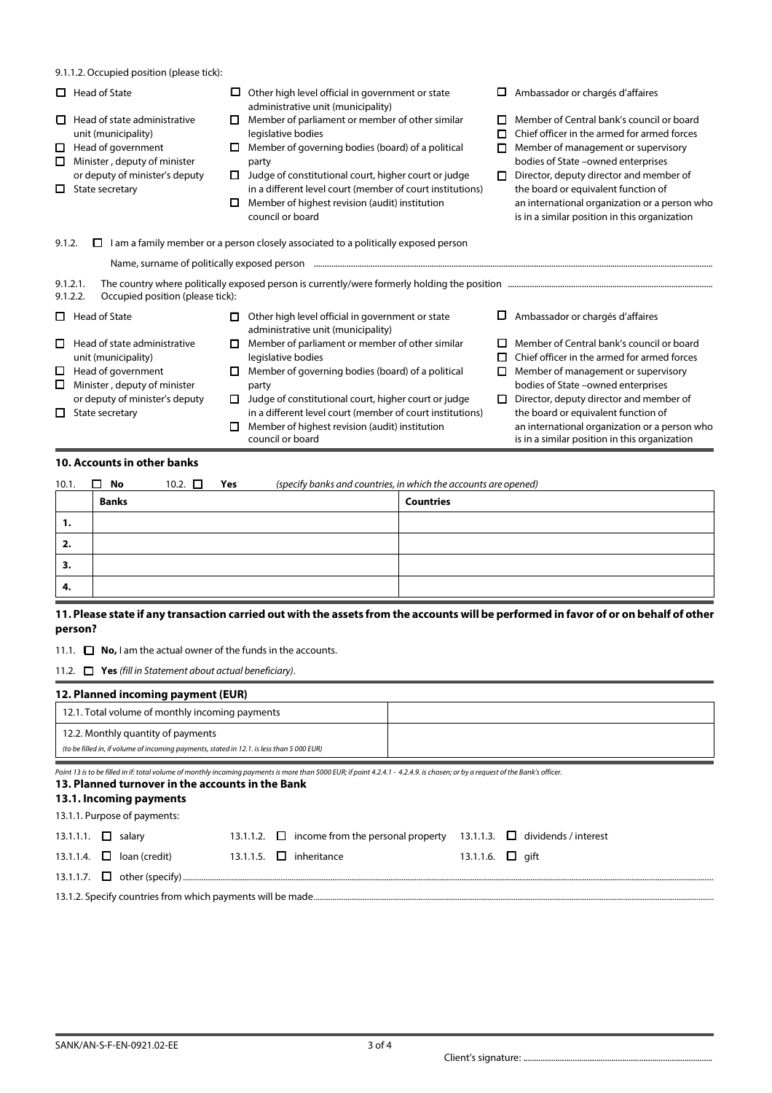|  |  |  | 9.1.1.2. Occupied position (please tick): |
|--|--|--|-------------------------------------------|
|--|--|--|-------------------------------------------|

|             | 9.1.1.2. Occupied position (please tick):                          |   |                                                                                                                                                                                                       |        |                                                                                                |
|-------------|--------------------------------------------------------------------|---|-------------------------------------------------------------------------------------------------------------------------------------------------------------------------------------------------------|--------|------------------------------------------------------------------------------------------------|
| 0           | Head of State                                                      | ப | Other high level official in government or state<br>administrative unit (municipality)                                                                                                                | ப      | Ambassador or chargés d'affaires                                                               |
| D.          | Head of state administrative<br>unit (municipality)                | 0 | Member of parliament or member of other similar<br>legislative bodies                                                                                                                                 | п      | Member of Central bank's council or board<br>Chief officer in the armed for armed forces       |
| □<br>□      | Head of government<br>Minister, deputy of minister                 | ப | Member of governing bodies (board) of a political<br>party                                                                                                                                            | п      | Member of management or supervisory<br>bodies of State -owned enterprises                      |
| □           | or deputy of minister's deputy<br>State secretary                  | □ | Judge of constitutional court, higher court or judge<br>in a different level court (member of court institutions)                                                                                     | п      | Director, deputy director and member of<br>the board or equivalent function of                 |
|             |                                                                    | □ | Member of highest revision (audit) institution<br>council or board                                                                                                                                    |        | an international organization or a person who<br>is in a similar position in this organization |
| 9.1.2.      | $\Box$<br>9.1.2.1.<br>9.1.2.2.<br>Occupied position (please tick): |   | I am a family member or a person closely associated to a politically exposed person<br>Name, surname of politically exposed person manufactured content content and proposed person manufactured cont |        |                                                                                                |
| О.          | Head of State                                                      | □ | Other high level official in government or state<br>administrative unit (municipality)                                                                                                                |        | Ambassador or chargés d'affaires                                                               |
| □           | Head of state administrative<br>unit (municipality)                | □ | Member of parliament or member of other similar<br>legislative bodies                                                                                                                                 | □<br>п | Member of Central bank's council or board<br>Chief officer in the armed for armed forces       |
| □<br>$\Box$ | Head of government<br>Minister, deputy of minister                 |   | Member of governing bodies (board) of a political<br>party                                                                                                                                            | п      | Member of management or supervisory<br>bodies of State -owned enterprises                      |
| □           | or deputy of minister's deputy<br>State secretary                  | П | Judge of constitutional court, higher court or judge<br>in a different level court (member of court institutions)                                                                                     | □      | Director, deputy director and member of<br>the board or equivalent function of                 |
|             |                                                                    | □ | Member of highest revision (audit) institution<br>council or board                                                                                                                                    |        | an international organization or a person who<br>is in a similar position in this organization |

## **10. Accounts in other banks**

| 10.1. | $\Box$ No    | 10.2. $\square$ | Yes | (specify banks and countries, in which the accounts are opened) |
|-------|--------------|-----------------|-----|-----------------------------------------------------------------|
|       | <b>Banks</b> |                 |     | <b>Countries</b>                                                |
| ъ.    |              |                 |     |                                                                 |
| 2.    |              |                 |     |                                                                 |
| з.    |              |                 |     |                                                                 |
| -4.   |              |                 |     |                                                                 |

## **11. Please state if any transaction carried out with the assets from the accounts will be performed in favor of or on behalf of other person?**

11.1.  $\Box$  **No,** I am the actual owner of the funds in the accounts.

11.2. **Yes** *(fill in Statement about actual beneficiary)*.

| 12. Planned incoming payment (EUR)                                                        |  |  |  |  |
|-------------------------------------------------------------------------------------------|--|--|--|--|
| 12.1. Total volume of monthly incoming payments                                           |  |  |  |  |
| 12.2. Monthly quantity of payments                                                        |  |  |  |  |
| (to be filled in, if volume of incoming payments, stated in 12.1. is less than 5 000 EUR) |  |  |  |  |

*Point 13 is to be filled in if: total volume of monthly incoming payments is more than 5000 EUR; if point 4.2.4.1 - 4.2.4.9. is chosen; or by a request of the Bank's officer.* 

## **13. Planned turnover in the accounts in the Bank 13.1. Incoming payments**  13.1.1. Purpose of payments: 13.1.1.1.  $\Box$  salary 13.1.1.2.  $\Box$  income from the personal property 13.1.1.3.  $\Box$  dividends / interest 13.1.1.4.  $\square$  Ioan (credit) 13.1.1.5.  $\square$  inheritance 13.1.1.6.  $\square$  gift 13.1.1.7.  $\Box$  other (specify)... 13.1.2. Specify countries from which payments will be made....